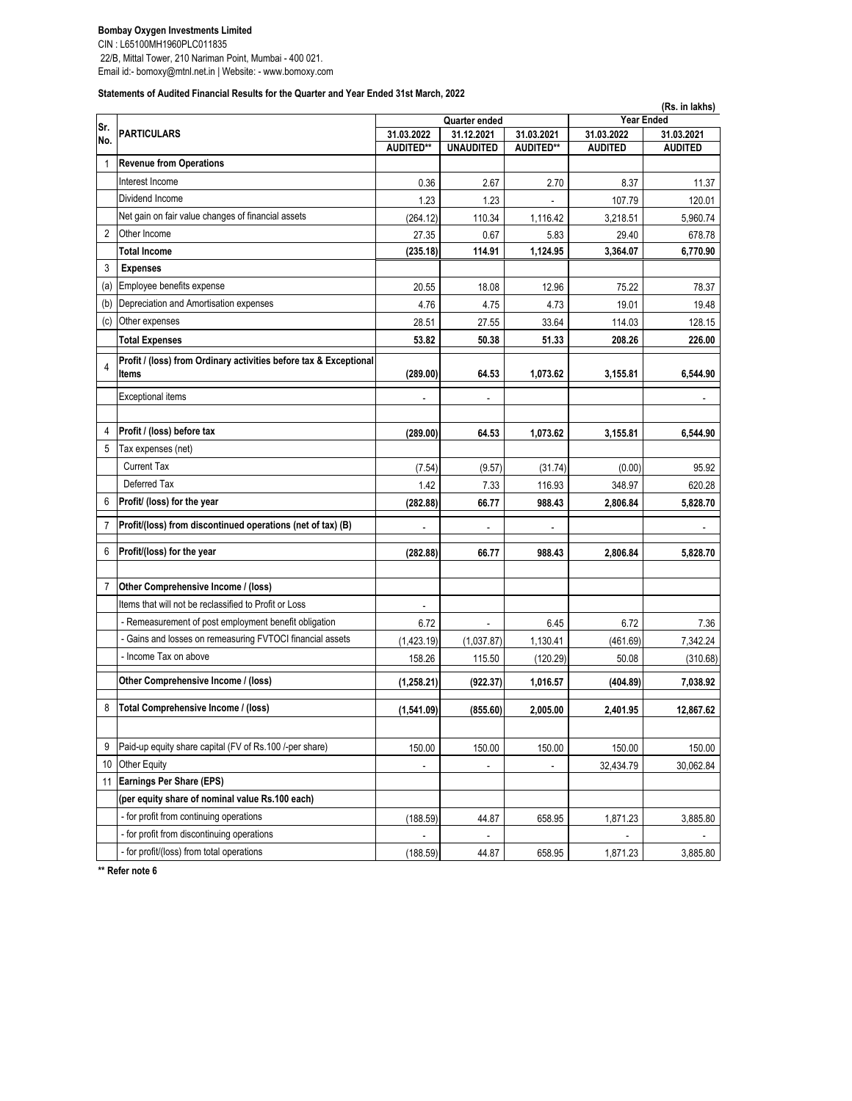CIN : L65100MH1960PLC011835

 22/B, Mittal Tower, 210 Nariman Point, Mumbai - 400 021. Email id:- bomoxy@mtnl.net.in | Website: - www.bomoxy.com

**Statements of Audited Financial Results for the Quarter and Year Ended 31st March, 2022**

|                |                                                                            |                                                         |                  |                  | (Rs. in lakhs)                                |                |  |
|----------------|----------------------------------------------------------------------------|---------------------------------------------------------|------------------|------------------|-----------------------------------------------|----------------|--|
| Sr.<br>No.     | <b>PARTICULARS</b>                                                         | Quarter ended<br>31.03.2021<br>31.03.2022<br>31.12.2021 |                  |                  | <b>Year Ended</b><br>31.03.2022<br>31.03.2021 |                |  |
|                |                                                                            | AUDITED**                                               | <b>UNAUDITED</b> | <b>AUDITED**</b> | <b>AUDITED</b>                                | <b>AUDITED</b> |  |
| 1              | <b>Revenue from Operations</b>                                             |                                                         |                  |                  |                                               |                |  |
|                | Interest Income                                                            | 0.36                                                    | 2.67             | 2.70             | 8.37                                          | 11.37          |  |
|                | Dividend Income                                                            | 1.23                                                    | 1.23             |                  | 107.79                                        | 120.01         |  |
|                | Net gain on fair value changes of financial assets                         | (264.12)                                                | 110.34           | 1,116.42         | 3,218.51                                      | 5,960.74       |  |
| $\overline{2}$ | Other Income                                                               | 27.35                                                   | 0.67             | 5.83             | 29.40                                         | 678.78         |  |
|                | <b>Total Income</b>                                                        | (235.18)                                                | 114.91           | 1,124.95         | 3,364.07                                      | 6,770.90       |  |
| 3              | <b>Expenses</b>                                                            |                                                         |                  |                  |                                               |                |  |
| (a)            | Employee benefits expense                                                  | 20.55                                                   | 18.08            | 12.96            | 75.22                                         | 78.37          |  |
| (b)            | Depreciation and Amortisation expenses                                     | 4.76                                                    | 4.75             | 4.73             | 19.01                                         | 19.48          |  |
| (c)            | Other expenses                                                             | 28.51                                                   | 27.55            | 33.64            | 114.03                                        | 128.15         |  |
|                | <b>Total Expenses</b>                                                      | 53.82                                                   | 50.38            | 51.33            | 208.26                                        | 226.00         |  |
| $\overline{4}$ | Profit / (loss) from Ordinary activities before tax & Exceptional<br>Items | (289.00)                                                | 64.53            | 1,073.62         | 3,155.81                                      | 6,544.90       |  |
|                |                                                                            |                                                         |                  |                  |                                               |                |  |
|                | <b>Exceptional items</b>                                                   |                                                         | ÷,               |                  |                                               |                |  |
| 4              | Profit / (loss) before tax                                                 | (289.00)                                                | 64.53            | 1,073.62         | 3,155.81                                      | 6,544.90       |  |
| 5              | Tax expenses (net)                                                         |                                                         |                  |                  |                                               |                |  |
|                | <b>Current Tax</b>                                                         | (7.54)                                                  | (9.57)           | (31.74)          | (0.00)                                        | 95.92          |  |
|                | Deferred Tax                                                               | 1.42                                                    | 7.33             | 116.93           | 348.97                                        | 620.28         |  |
| 6              | Profit/ (loss) for the year                                                | (282.88)                                                | 66.77            | 988.43           | 2,806.84                                      | 5,828.70       |  |
| $\overline{7}$ | Profit/(loss) from discontinued operations (net of tax) (B)                |                                                         |                  |                  |                                               |                |  |
|                |                                                                            |                                                         |                  |                  |                                               |                |  |
| 6              | Profit/(loss) for the year                                                 | (282.88)                                                | 66.77            | 988.43           | 2,806.84                                      | 5,828.70       |  |
| $\overline{7}$ | Other Comprehensive Income / (loss)                                        |                                                         |                  |                  |                                               |                |  |
|                | Items that will not be reclassified to Profit or Loss                      |                                                         |                  |                  |                                               |                |  |
|                | - Remeasurement of post employment benefit obligation                      | 6.72                                                    |                  | 6.45             | 6.72                                          | 7.36           |  |
|                | - Gains and losses on remeasuring FVTOCI financial assets                  | (1,423.19)                                              | (1,037.87)       | 1,130.41         | (461.69)                                      | 7,342.24       |  |
|                | - Income Tax on above                                                      | 158.26                                                  | 115.50           | (120.29)         | 50.08                                         | (310.68)       |  |
|                | Other Comprehensive Income / (loss)                                        | (1, 258.21)                                             | (922.37)         | 1,016.57         | (404.89)                                      | 7,038.92       |  |
| 8              | Total Comprehensive Income / (loss)                                        | (1,541.09)                                              | (855.60)         | 2,005.00         | 2.401.95                                      | 12,867.62      |  |
|                |                                                                            |                                                         |                  |                  |                                               |                |  |
| 9              | Paid-up equity share capital (FV of Rs.100 /-per share)                    | 150.00                                                  | 150.00           | 150.00           | 150.00                                        | 150.00         |  |
| 10             | Other Equity                                                               |                                                         | ÷,               | ä,               | 32,434.79                                     | 30,062.84      |  |
| 11             | <b>Earnings Per Share (EPS)</b>                                            |                                                         |                  |                  |                                               |                |  |
|                | (per equity share of nominal value Rs.100 each)                            |                                                         |                  |                  |                                               |                |  |
|                | - for profit from continuing operations                                    | (188.59)                                                | 44.87            | 658.95           | 1,871.23                                      | 3,885.80       |  |
|                | - for profit from discontinuing operations                                 |                                                         |                  |                  |                                               |                |  |
|                | - for profit/(loss) from total operations                                  | (188.59)                                                | 44.87            | 658.95           | 1,871.23                                      | 3,885.80       |  |

**\*\* Refer note 6**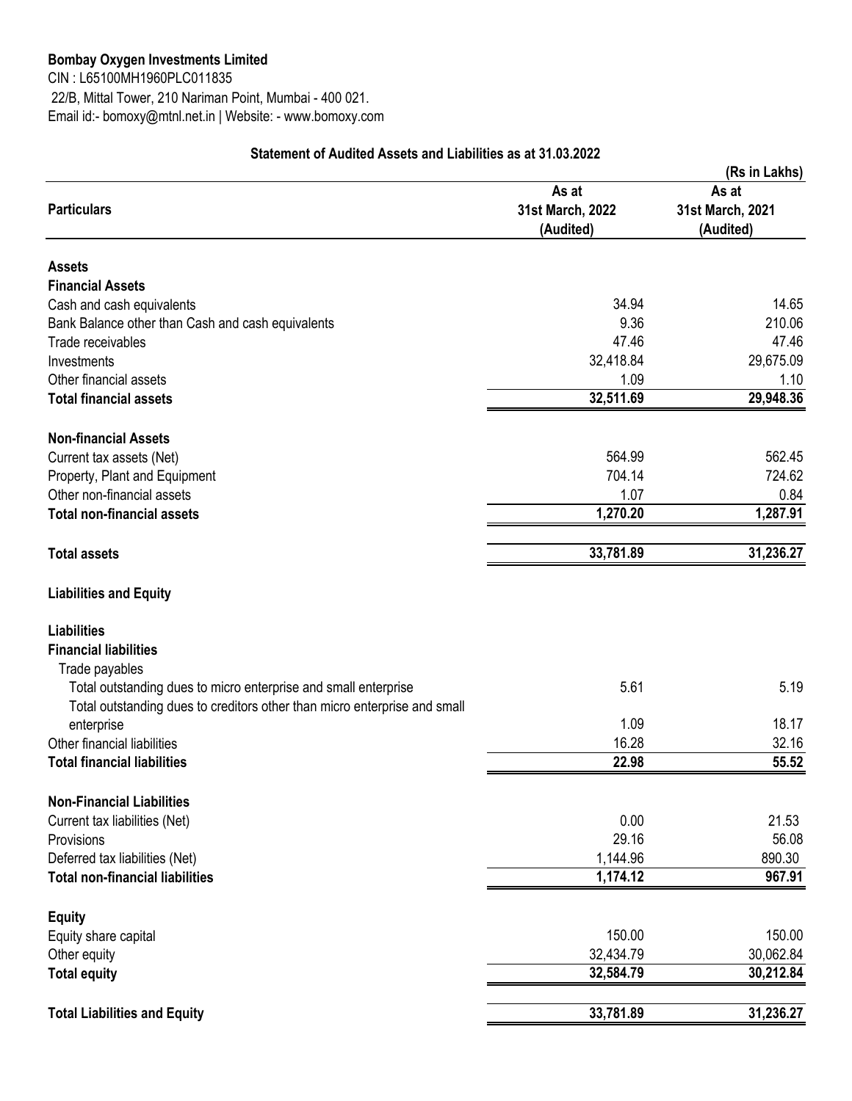CIN : L65100MH1960PLC011835 22/B, Mittal Tower, 210 Nariman Point, Mumbai - 400 021. Email id:- bomoxy@mtnl.net.in | Website: - www.bomoxy.com

|                                                                                                                                              |                                        | (Rs in Lakhs)                          |  |
|----------------------------------------------------------------------------------------------------------------------------------------------|----------------------------------------|----------------------------------------|--|
| <b>Particulars</b>                                                                                                                           | As at<br>31st March, 2022<br>(Audited) | As at<br>31st March, 2021<br>(Audited) |  |
| <b>Assets</b>                                                                                                                                |                                        |                                        |  |
| <b>Financial Assets</b>                                                                                                                      |                                        |                                        |  |
| Cash and cash equivalents                                                                                                                    | 34.94                                  | 14.65                                  |  |
| Bank Balance other than Cash and cash equivalents                                                                                            | 9.36                                   | 210.06                                 |  |
| Trade receivables                                                                                                                            | 47.46                                  | 47.46                                  |  |
| Investments                                                                                                                                  | 32,418.84                              | 29,675.09                              |  |
| Other financial assets                                                                                                                       | 1.09                                   | 1.10                                   |  |
| <b>Total financial assets</b>                                                                                                                | 32,511.69                              | 29,948.36                              |  |
| <b>Non-financial Assets</b>                                                                                                                  |                                        |                                        |  |
| Current tax assets (Net)                                                                                                                     | 564.99                                 | 562.45                                 |  |
| Property, Plant and Equipment                                                                                                                | 704.14                                 | 724.62                                 |  |
| Other non-financial assets                                                                                                                   | 1.07                                   | 0.84                                   |  |
| <b>Total non-financial assets</b>                                                                                                            | 1,270.20                               | 1,287.91                               |  |
| <b>Total assets</b>                                                                                                                          | 33,781.89                              | 31,236.27                              |  |
| <b>Liabilities and Equity</b>                                                                                                                |                                        |                                        |  |
| <b>Liabilities</b><br><b>Financial liabilities</b><br>Trade payables                                                                         |                                        |                                        |  |
| Total outstanding dues to micro enterprise and small enterprise<br>Total outstanding dues to creditors other than micro enterprise and small | 5.61                                   | 5.19                                   |  |
| enterprise                                                                                                                                   | 1.09                                   | 18.17                                  |  |
| Other financial liabilities                                                                                                                  | 16.28                                  | 32.16                                  |  |
| <b>Total financial liabilities</b>                                                                                                           | 22.98                                  | 55.52                                  |  |
| <b>Non-Financial Liabilities</b>                                                                                                             |                                        |                                        |  |
| Current tax liabilities (Net)                                                                                                                | 0.00                                   | 21.53                                  |  |
| Provisions                                                                                                                                   | 29.16                                  | 56.08                                  |  |
| Deferred tax liabilities (Net)                                                                                                               | 1,144.96                               | 890.30                                 |  |
| <b>Total non-financial liabilities</b>                                                                                                       | 1,174.12                               | 967.91                                 |  |
| <b>Equity</b>                                                                                                                                |                                        |                                        |  |
| Equity share capital                                                                                                                         | 150.00                                 | 150.00                                 |  |
| Other equity                                                                                                                                 | 32,434.79                              | 30,062.84                              |  |
| <b>Total equity</b>                                                                                                                          | 32,584.79                              | 30,212.84                              |  |
| <b>Total Liabilities and Equity</b>                                                                                                          | 33,781.89                              | 31,236.27                              |  |

## **Statement of Audited Assets and Liabilities as at 31.03.2022**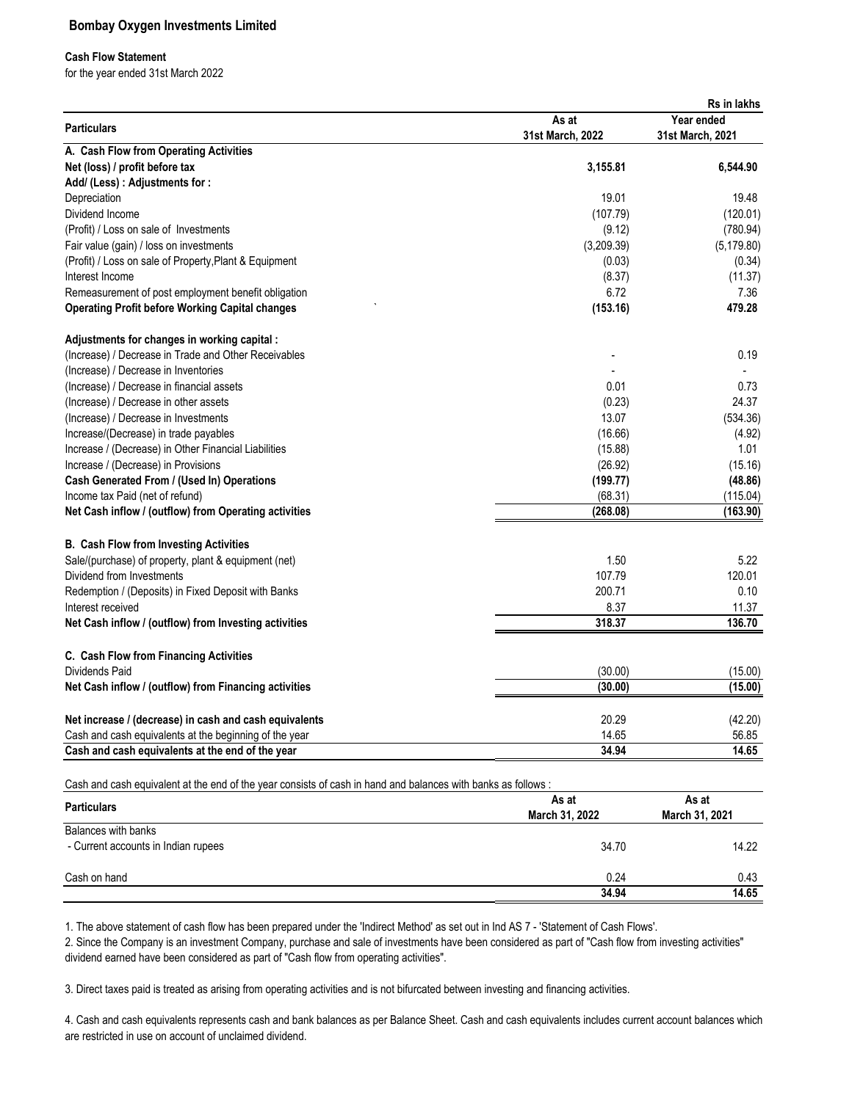### **Cash Flow Statement**

for the year ended 31st March 2022

|                                                        |                  | Rs in lakhs      |
|--------------------------------------------------------|------------------|------------------|
| <b>Particulars</b>                                     | As at            | Year ended       |
|                                                        | 31st March, 2022 | 31st March, 2021 |
| A. Cash Flow from Operating Activities                 |                  |                  |
| Net (loss) / profit before tax                         | 3,155.81         | 6,544.90         |
| Add/ (Less) : Adjustments for :                        |                  |                  |
| Depreciation                                           | 19.01            | 19.48            |
| Dividend Income                                        | (107.79)         | (120.01)         |
| (Profit) / Loss on sale of Investments                 | (9.12)           | (780.94)         |
| Fair value (gain) / loss on investments                | (3,209.39)       | (5, 179.80)      |
| (Profit) / Loss on sale of Property, Plant & Equipment | (0.03)           | (0.34)           |
| Interest Income                                        | (8.37)           | (11.37)          |
| Remeasurement of post employment benefit obligation    | 6.72             | 7.36             |
| <b>Operating Profit before Working Capital changes</b> | (153.16)         | 479.28           |
| Adjustments for changes in working capital:            |                  |                  |
| (Increase) / Decrease in Trade and Other Receivables   |                  | 0.19             |
| (Increase) / Decrease in Inventories                   |                  |                  |
| (Increase) / Decrease in financial assets              | 0.01             | 0.73             |
| (Increase) / Decrease in other assets                  | (0.23)           | 24.37            |
| (Increase) / Decrease in Investments                   | 13.07            | (534.36)         |
| Increase/(Decrease) in trade payables                  | (16.66)          | (4.92)           |
| Increase / (Decrease) in Other Financial Liabilities   | (15.88)          | 1.01             |
| Increase / (Decrease) in Provisions                    | (26.92)          | (15.16)          |
| Cash Generated From / (Used In) Operations             | (199.77)         | (48.86)          |
| Income tax Paid (net of refund)                        | (68.31)          | (115.04)         |
| Net Cash inflow / (outflow) from Operating activities  | (268.08)         | (163.90)         |
| <b>B. Cash Flow from Investing Activities</b>          |                  |                  |
| Sale/(purchase) of property, plant & equipment (net)   | 1.50             | 5.22             |
| Dividend from Investments                              | 107.79           | 120.01           |
| Redemption / (Deposits) in Fixed Deposit with Banks    | 200.71           | 0.10             |
| Interest received                                      | 8.37             | 11.37            |
| Net Cash inflow / (outflow) from Investing activities  | 318.37           | 136.70           |
| C. Cash Flow from Financing Activities                 |                  |                  |
| <b>Dividends Paid</b>                                  | (30.00)          | (15.00)          |
| Net Cash inflow / (outflow) from Financing activities  | (30.00)          | (15.00)          |
|                                                        |                  |                  |
| Net increase / (decrease) in cash and cash equivalents | 20.29            | (42.20)          |
| Cash and cash equivalents at the beginning of the year | 14.65            | 56.85            |
| Cash and cash equivalents at the end of the year       | 34.94            | 14.65            |

|                                     | As at          | As at<br>March 31, 2021 |  |
|-------------------------------------|----------------|-------------------------|--|
| <b>Particulars</b>                  | March 31, 2022 |                         |  |
| Balances with banks                 |                |                         |  |
| - Current accounts in Indian rupees | 34.70          | 14.22                   |  |
| Cash on hand                        | 0.24           | 0.43                    |  |
|                                     | 34.94          | 14.65                   |  |

1. The above statement of cash flow has been prepared under the 'Indirect Method' as set out in Ind AS 7 - 'Statement of Cash Flows'.

2. Since the Company is an investment Company, purchase and sale of investments have been considered as part of "Cash flow from investing activities" dividend earned have been considered as part of "Cash flow from operating activities".

3. Direct taxes paid is treated as arising from operating activities and is not bifurcated between investing and financing activities.

4. Cash and cash equivalents represents cash and bank balances as per Balance Sheet. Cash and cash equivalents includes current account balances which are restricted in use on account of unclaimed dividend.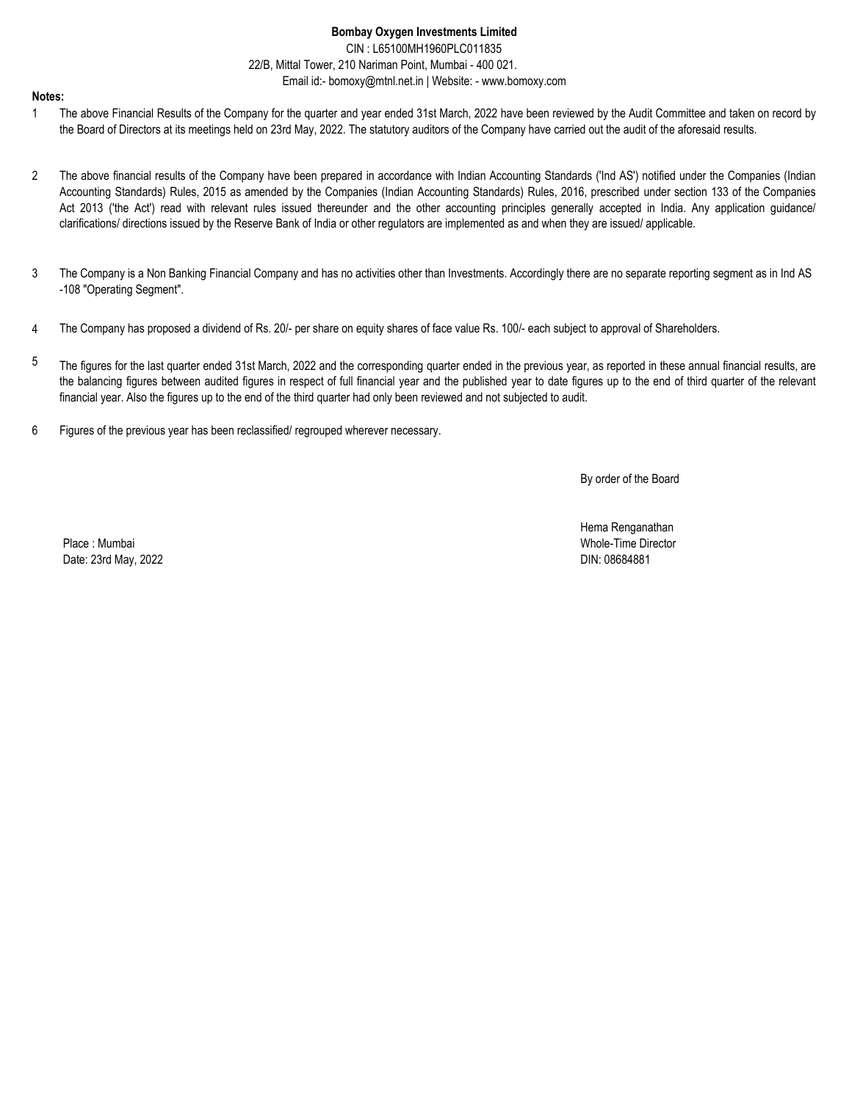CIN : L65100MH1960PLC011835 22/B, Mittal Tower, 210 Nariman Point, Mumbai - 400 021. Email id:- bomoxy@mtnl.net.in | Website: - www.bomoxy.com

#### **Notes:**

- 1 The above Financial Results of the Company for the quarter and year ended 31st March, 2022 have been reviewed by the Audit Committee and taken on record by the Board of Directors at its meetings held on 23rd May, 2022. The statutory auditors of the Company have carried out the audit of the aforesaid results.
- 2 The above financial results of the Company have been prepared in accordance with Indian Accounting Standards ('Ind AS') notified under the Companies (Indian Accounting Standards) Rules, 2015 as amended by the Companies (Indian Accounting Standards) Rules, 2016, prescribed under section 133 of the Companies Act 2013 ('the Act') read with relevant rules issued thereunder and the other accounting principles generally accepted in India. Any application guidance/ clarifications/ directions issued by the Reserve Bank of India or other regulators are implemented as and when they are issued/ applicable.
- 3 The Company is a Non Banking Financial Company and has no activities other than Investments. Accordingly there are no separate reporting segment as in Ind AS -108 "Operating Segment".
- 4 The Company has proposed a dividend of Rs. 20/- per share on equity shares of face value Rs. 100/- each subject to approval of Shareholders.
- 5 The figures for the last quarter ended 31st March, 2022 and the corresponding quarter ended in the previous year, as reported in these annual financial results, are the balancing figures between audited figures in respect of full financial year and the published year to date figures up to the end of third quarter of the relevant financial year. Also the figures up to the end of the third quarter had only been reviewed and not subjected to audit.
- 6 Figures of the previous year has been reclassified/ regrouped wherever necessary.

By order of the Board

Place : Mumbai Whole-Time Director Date: 23rd May, 2022

Hema Renganathan